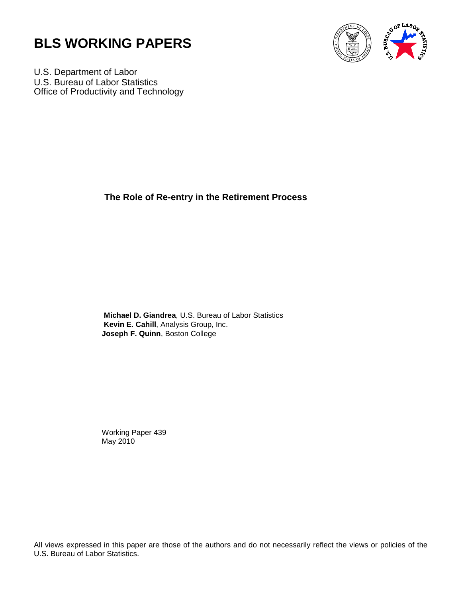



U.S. Department of Labor U.S. Bureau of Labor Statistics Office of Productivity and Technology

**The Role of Re-entry in the Retirement Process**

**Michael D. Giandrea**, U.S. Bureau of Labor Statistics **Kevin E. Cahill**, Analysis Group, Inc. **Joseph F. Quinn**, Boston College

Working Paper 439 May 2010

All views expressed in this paper are those of the authors and do not necessarily reflect the views or policies of the U.S. Bureau of Labor Statistics.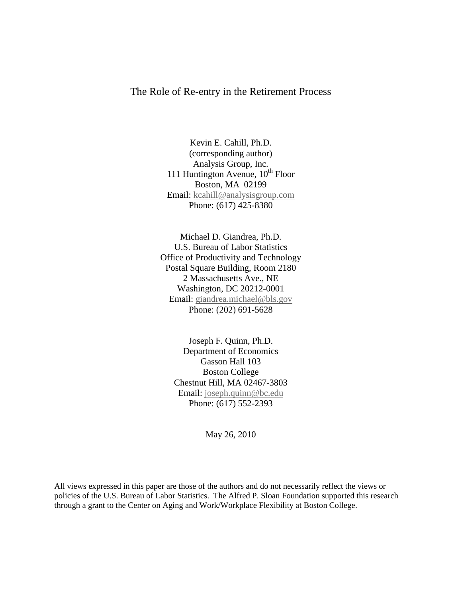### The Role of Re-entry in the Retirement Process

Kevin E. Cahill, Ph.D. (corresponding author) Analysis Group, Inc. 111 Huntington Avenue,  $10^{th}$  Floor Boston, MA 02199 Email: kcahill@analysisgroup.com Phone: (617) 425-8380

Michael D. Giandrea, Ph.D. U.S. Bureau of Labor Statistics Office of Productivity and Technology Postal Square Building, Room 2180 2 Massachusetts Ave., NE Washington, DC 20212-0001 Email: [giandrea.michael@bls.gov](mailto:giandrea.michael@bls.gov) Phone: (202) 691-5628

Joseph F. Quinn, Ph.D. Department of Economics Gasson Hall 103 Boston College Chestnut Hill, MA 02467-3803 Email: [joseph.quinn@bc.edu](mailto:joseph.quinn@bc.edu) Phone: (617) 552-2393

May 26, 2010

All views expressed in this paper are those of the authors and do not necessarily reflect the views or policies of the U.S. Bureau of Labor Statistics. The Alfred P. Sloan Foundation supported this research through a grant to the Center on Aging and Work/Workplace Flexibility at Boston College.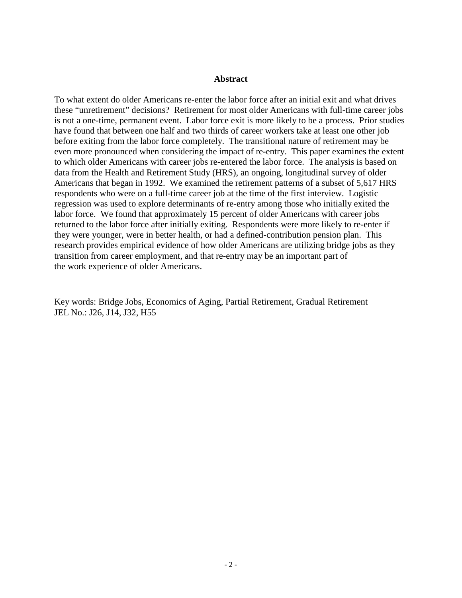#### **Abstract**

To what extent do older Americans re-enter the labor force after an initial exit and what drives these "unretirement" decisions? Retirement for most older Americans with full-time career jobs is not a one-time, permanent event. Labor force exit is more likely to be a process. Prior studies have found that between one half and two thirds of career workers take at least one other job before exiting from the labor force completely. The transitional nature of retirement may be even more pronounced when considering the impact of re-entry. This paper examines the extent to which older Americans with career jobs re-entered the labor force. The analysis is based on data from the Health and Retirement Study (HRS), an ongoing, longitudinal survey of older Americans that began in 1992. We examined the retirement patterns of a subset of 5,617 HRS respondents who were on a full-time career job at the time of the first interview. Logistic regression was used to explore determinants of re-entry among those who initially exited the labor force. We found that approximately 15 percent of older Americans with career jobs returned to the labor force after initially exiting. Respondents were more likely to re-enter if they were younger, were in better health, or had a defined-contribution pension plan. This research provides empirical evidence of how older Americans are utilizing bridge jobs as they transition from career employment, and that re-entry may be an important part of the work experience of older Americans.

Key words: Bridge Jobs, Economics of Aging, Partial Retirement, Gradual Retirement JEL No.: J26, J14, J32, H55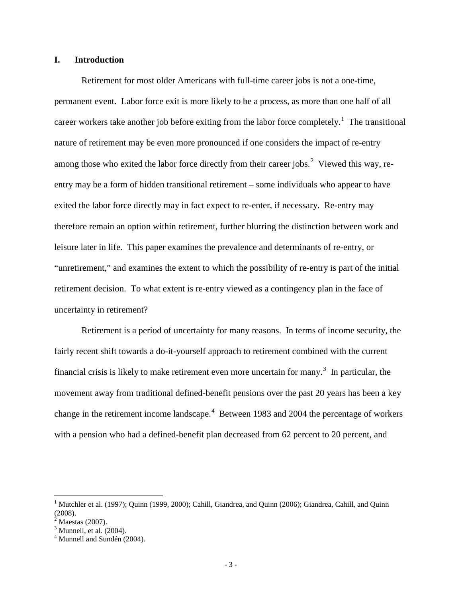### **I. Introduction**

Retirement for most older Americans with full-time career jobs is not a one-time, permanent event. Labor force exit is more likely to be a process, as more than one half of all career workers take another job before exiting from the labor force completely.<sup>[1](#page-3-0)</sup> The transitional nature of retirement may be even more pronounced if one considers the impact of re-entry among those who exited the labor force directly from their career jobs.<sup>[2](#page-3-1)</sup> Viewed this way, reentry may be a form of hidden transitional retirement – some individuals who appear to have exited the labor force directly may in fact expect to re-enter, if necessary. Re-entry may therefore remain an option within retirement, further blurring the distinction between work and leisure later in life. This paper examines the prevalence and determinants of re-entry, or "unretirement," and examines the extent to which the possibility of re-entry is part of the initial retirement decision. To what extent is re-entry viewed as a contingency plan in the face of uncertainty in retirement?

Retirement is a period of uncertainty for many reasons. In terms of income security, the fairly recent shift towards a do-it-yourself approach to retirement combined with the current financial crisis is likely to make retirement even more uncertain for many.<sup>[3](#page-3-2)</sup> In particular, the movement away from traditional defined-benefit pensions over the past 20 years has been a key change in the retirement income landscape.<sup>[4](#page-3-3)</sup> Between 1983 and 2004 the percentage of workers with a pension who had a defined-benefit plan decreased from 62 percent to 20 percent, and

<span id="page-3-0"></span><sup>&</sup>lt;sup>1</sup> Mutchler et al. (1997); Quinn (1999, 2000); Cahill, Giandrea, and Quinn (2006); Giandrea, Cahill, and Quinn (2008).

<span id="page-3-1"></span> $<sup>2</sup>$  Maestas (2007).</sup>

<span id="page-3-2"></span> $3$  Munnell, et al. (2004).

<span id="page-3-3"></span> $<sup>4</sup>$  Munnell and Sundén (2004).</sup>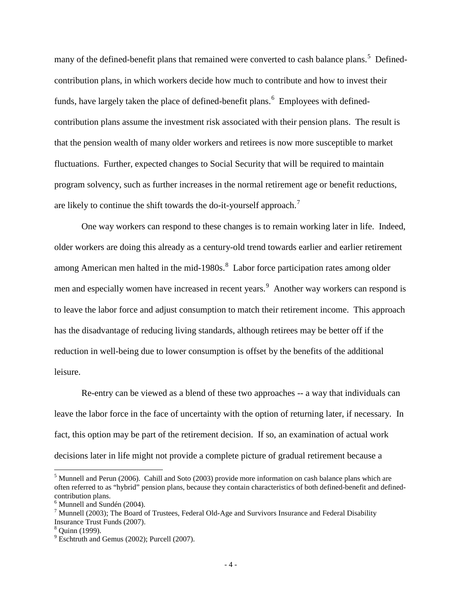many of the defined-benefit plans that remained were converted to cash balance plans.<sup>[5](#page-4-0)</sup> Definedcontribution plans, in which workers decide how much to contribute and how to invest their funds, have largely taken the place of defined-benefit plans.<sup>[6](#page-4-1)</sup> Employees with definedcontribution plans assume the investment risk associated with their pension plans. The result is that the pension wealth of many older workers and retirees is now more susceptible to market fluctuations. Further, expected changes to Social Security that will be required to maintain program solvency, such as further increases in the normal retirement age or benefit reductions, are likely to continue the shift towards the do-it-yourself approach.<sup>[7](#page-4-2)</sup>

One way workers can respond to these changes is to remain working later in life. Indeed, older workers are doing this already as a century-old trend towards earlier and earlier retirement among American men halted in the mid-19[8](#page-4-3)0s.<sup>8</sup> Labor force participation rates among older men and especially women have increased in recent years.<sup>[9](#page-4-4)</sup> Another way workers can respond is to leave the labor force and adjust consumption to match their retirement income. This approach has the disadvantage of reducing living standards, although retirees may be better off if the reduction in well-being due to lower consumption is offset by the benefits of the additional leisure.

Re-entry can be viewed as a blend of these two approaches -- a way that individuals can leave the labor force in the face of uncertainty with the option of returning later, if necessary. In fact, this option may be part of the retirement decision. If so, an examination of actual work decisions later in life might not provide a complete picture of gradual retirement because a

<span id="page-4-0"></span> $<sup>5</sup>$  Munnell and Perun (2006). Cahill and Soto (2003) provide more information on cash balance plans which are</sup> often referred to as "hybrid" pension plans, because they contain characteristics of both defined-benefit and definedcontribution plans.<br><sup>6</sup> Munnell and Sundén (2004).

<span id="page-4-1"></span>

<span id="page-4-2"></span><sup>&</sup>lt;sup>7</sup> Munnell (2003); The Board of Trustees, Federal Old-Age and Survivors Insurance and Federal Disability Insurance Trust Funds (2007).

<span id="page-4-3"></span> $8$  Ouinn (1999).

<span id="page-4-4"></span> $<sup>9</sup>$  Eschtruth and Gemus (2002); Purcell (2007).</sup>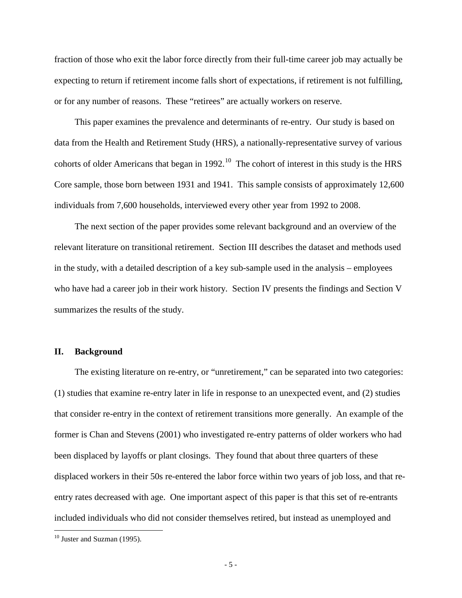fraction of those who exit the labor force directly from their full-time career job may actually be expecting to return if retirement income falls short of expectations, if retirement is not fulfilling, or for any number of reasons. These "retirees" are actually workers on reserve.

This paper examines the prevalence and determinants of re-entry. Our study is based on data from the Health and Retirement Study (HRS), a nationally-representative survey of various cohorts of older Americans that began in 1992.<sup>[10](#page-5-0)</sup> The cohort of interest in this study is the HRS Core sample, those born between 1931 and 1941. This sample consists of approximately 12,600 individuals from 7,600 households, interviewed every other year from 1992 to 2008.

The next section of the paper provides some relevant background and an overview of the relevant literature on transitional retirement. Section III describes the dataset and methods used in the study, with a detailed description of a key sub-sample used in the analysis – employees who have had a career job in their work history. Section IV presents the findings and Section V summarizes the results of the study.

#### **II. Background**

The existing literature on re-entry, or "unretirement," can be separated into two categories: (1) studies that examine re-entry later in life in response to an unexpected event, and (2) studies that consider re-entry in the context of retirement transitions more generally. An example of the former is Chan and Stevens (2001) who investigated re-entry patterns of older workers who had been displaced by layoffs or plant closings. They found that about three quarters of these displaced workers in their 50s re-entered the labor force within two years of job loss, and that reentry rates decreased with age. One important aspect of this paper is that this set of re-entrants included individuals who did not consider themselves retired, but instead as unemployed and

<span id="page-5-0"></span> $10$  Juster and Suzman (1995).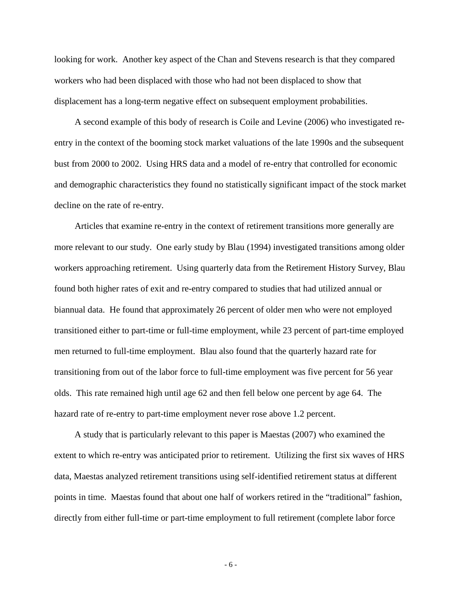looking for work. Another key aspect of the Chan and Stevens research is that they compared workers who had been displaced with those who had not been displaced to show that displacement has a long-term negative effect on subsequent employment probabilities.

A second example of this body of research is Coile and Levine (2006) who investigated reentry in the context of the booming stock market valuations of the late 1990s and the subsequent bust from 2000 to 2002. Using HRS data and a model of re-entry that controlled for economic and demographic characteristics they found no statistically significant impact of the stock market decline on the rate of re-entry.

Articles that examine re-entry in the context of retirement transitions more generally are more relevant to our study. One early study by Blau (1994) investigated transitions among older workers approaching retirement. Using quarterly data from the Retirement History Survey, Blau found both higher rates of exit and re-entry compared to studies that had utilized annual or biannual data. He found that approximately 26 percent of older men who were not employed transitioned either to part-time or full-time employment, while 23 percent of part-time employed men returned to full-time employment. Blau also found that the quarterly hazard rate for transitioning from out of the labor force to full-time employment was five percent for 56 year olds. This rate remained high until age 62 and then fell below one percent by age 64. The hazard rate of re-entry to part-time employment never rose above 1.2 percent.

A study that is particularly relevant to this paper is Maestas (2007) who examined the extent to which re-entry was anticipated prior to retirement. Utilizing the first six waves of HRS data, Maestas analyzed retirement transitions using self-identified retirement status at different points in time. Maestas found that about one half of workers retired in the "traditional" fashion, directly from either full-time or part-time employment to full retirement (complete labor force

- 6 -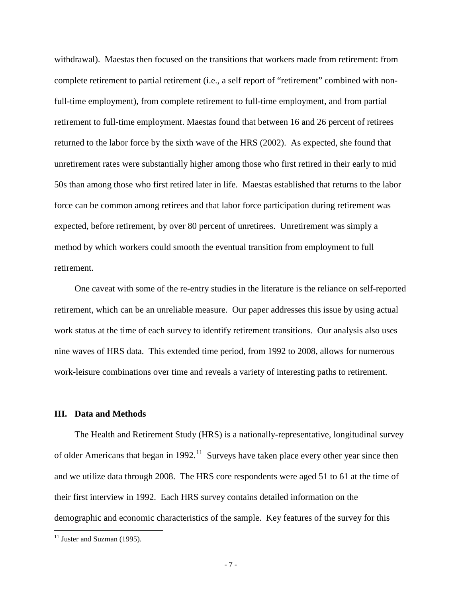withdrawal). Maestas then focused on the transitions that workers made from retirement: from complete retirement to partial retirement (i.e., a self report of "retirement" combined with nonfull-time employment), from complete retirement to full-time employment, and from partial retirement to full-time employment. Maestas found that between 16 and 26 percent of retirees returned to the labor force by the sixth wave of the HRS (2002). As expected, she found that unretirement rates were substantially higher among those who first retired in their early to mid 50s than among those who first retired later in life. Maestas established that returns to the labor force can be common among retirees and that labor force participation during retirement was expected, before retirement, by over 80 percent of unretirees. Unretirement was simply a method by which workers could smooth the eventual transition from employment to full retirement.

One caveat with some of the re-entry studies in the literature is the reliance on self-reported retirement, which can be an unreliable measure. Our paper addresses this issue by using actual work status at the time of each survey to identify retirement transitions. Our analysis also uses nine waves of HRS data. This extended time period, from 1992 to 2008, allows for numerous work-leisure combinations over time and reveals a variety of interesting paths to retirement.

### **III. Data and Methods**

The Health and Retirement Study (HRS) is a nationally-representative, longitudinal survey of older Americans that began in 1992.<sup>[11](#page-7-0)</sup> Surveys have taken place every other year since then and we utilize data through 2008. The HRS core respondents were aged 51 to 61 at the time of their first interview in 1992. Each HRS survey contains detailed information on the demographic and economic characteristics of the sample. Key features of the survey for this

<span id="page-7-0"></span> $11$  Juster and Suzman (1995).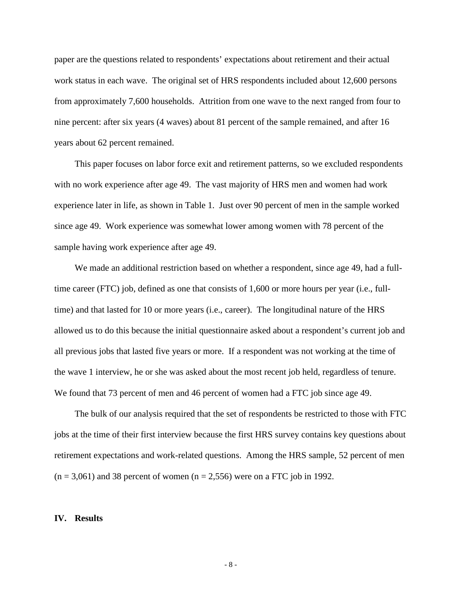paper are the questions related to respondents' expectations about retirement and their actual work status in each wave. The original set of HRS respondents included about 12,600 persons from approximately 7,600 households. Attrition from one wave to the next ranged from four to nine percent: after six years (4 waves) about 81 percent of the sample remained, and after 16 years about 62 percent remained.

This paper focuses on labor force exit and retirement patterns, so we excluded respondents with no work experience after age 49. The vast majority of HRS men and women had work experience later in life, as shown in Table 1. Just over 90 percent of men in the sample worked since age 49. Work experience was somewhat lower among women with 78 percent of the sample having work experience after age 49.

We made an additional restriction based on whether a respondent, since age 49, had a fulltime career (FTC) job, defined as one that consists of 1,600 or more hours per year (i.e., fulltime) and that lasted for 10 or more years (i.e., career). The longitudinal nature of the HRS allowed us to do this because the initial questionnaire asked about a respondent's current job and all previous jobs that lasted five years or more. If a respondent was not working at the time of the wave 1 interview, he or she was asked about the most recent job held, regardless of tenure. We found that 73 percent of men and 46 percent of women had a FTC job since age 49.

The bulk of our analysis required that the set of respondents be restricted to those with FTC jobs at the time of their first interview because the first HRS survey contains key questions about retirement expectations and work-related questions. Among the HRS sample, 52 percent of men  $(n = 3,061)$  and 38 percent of women  $(n = 2,556)$  were on a FTC job in 1992.

#### **IV. Results**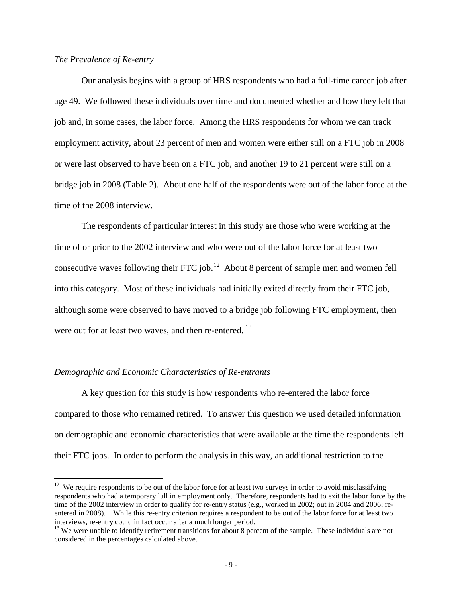### *The Prevalence of Re-entry*

 Our analysis begins with a group of HRS respondents who had a full-time career job after age 49. We followed these individuals over time and documented whether and how they left that job and, in some cases*,* the labor force. Among the HRS respondents for whom we can track employment activity, about 23 percent of men and women were either still on a FTC job in 2008 or were last observed to have been on a FTC job, and another 19 to 21 percent were still on a bridge job in 2008 (Table 2). About one half of the respondents were out of the labor force at the time of the 2008 interview.

The respondents of particular interest in this study are those who were working at the time of or prior to the 2002 interview and who were out of the labor force for at least two consecutive waves following their FTC job.<sup>[12](#page-9-0)</sup> About 8 percent of sample men and women fell into this category. Most of these individuals had initially exited directly from their FTC job, although some were observed to have moved to a bridge job following FTC employment, then were out for at least two waves, and then re-entered.<sup>[13](#page-9-1)</sup>

### *Demographic and Economic Characteristics of Re-entrants*

 $\overline{a}$ 

 A key question for this study is how respondents who re-entered the labor force compared to those who remained retired. To answer this question we used detailed information on demographic and economic characteristics that were available at the time the respondents left their FTC jobs. In order to perform the analysis in this way, an additional restriction to the

<span id="page-9-0"></span> $12$  We require respondents to be out of the labor force for at least two surveys in order to avoid misclassifying respondents who had a temporary lull in employment only. Therefore, respondents had to exit the labor force by the time of the 2002 interview in order to qualify for re-entry status (e.g., worked in 2002; out in 2004 and 2006; reentered in 2008). While this re-entry criterion requires a respondent to be out of the labor force for at least two interviews, re-entry could in fact occur after a much longer period. <sup>13</sup> We were unable to identify retirement transitions for about 8 percent of the sample. These individuals are not

<span id="page-9-1"></span>considered in the percentages calculated above.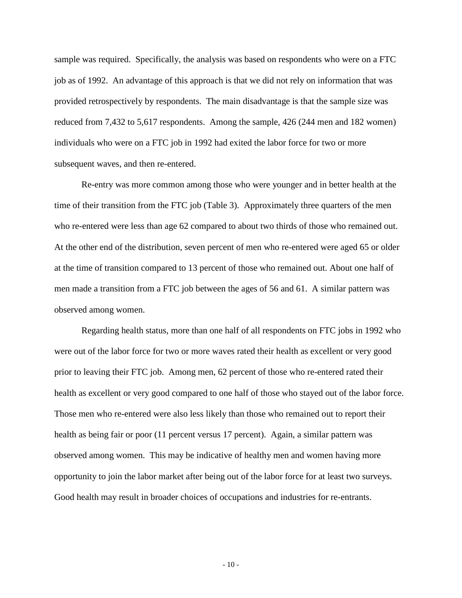sample was required. Specifically, the analysis was based on respondents who were on a FTC job as of 1992. An advantage of this approach is that we did not rely on information that was provided retrospectively by respondents. The main disadvantage is that the sample size was reduced from 7,432 to 5,617 respondents. Among the sample, 426 (244 men and 182 women) individuals who were on a FTC job in 1992 had exited the labor force for two or more subsequent waves, and then re-entered.

Re-entry was more common among those who were younger and in better health at the time of their transition from the FTC job (Table 3). Approximately three quarters of the men who re-entered were less than age 62 compared to about two thirds of those who remained out. At the other end of the distribution, seven percent of men who re-entered were aged 65 or older at the time of transition compared to 13 percent of those who remained out. About one half of men made a transition from a FTC job between the ages of 56 and 61. A similar pattern was observed among women.

 Regarding health status, more than one half of all respondents on FTC jobs in 1992 who were out of the labor force for two or more waves rated their health as excellent or very good prior to leaving their FTC job. Among men, 62 percent of those who re-entered rated their health as excellent or very good compared to one half of those who stayed out of the labor force. Those men who re-entered were also less likely than those who remained out to report their health as being fair or poor (11 percent versus 17 percent). Again, a similar pattern was observed among women. This may be indicative of healthy men and women having more opportunity to join the labor market after being out of the labor force for at least two surveys. Good health may result in broader choices of occupations and industries for re-entrants.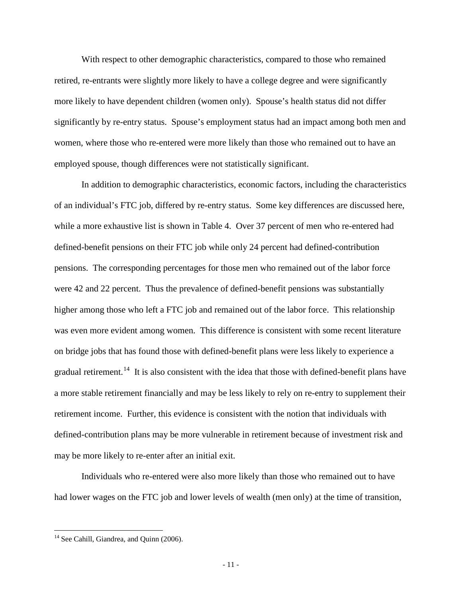With respect to other demographic characteristics, compared to those who remained retired, re-entrants were slightly more likely to have a college degree and were significantly more likely to have dependent children (women only). Spouse's health status did not differ significantly by re-entry status. Spouse's employment status had an impact among both men and women, where those who re-entered were more likely than those who remained out to have an employed spouse, though differences were not statistically significant.

 In addition to demographic characteristics, economic factors, including the characteristics of an individual's FTC job, differed by re-entry status. Some key differences are discussed here, while a more exhaustive list is shown in Table 4. Over 37 percent of men who re-entered had defined-benefit pensions on their FTC job while only 24 percent had defined-contribution pensions. The corresponding percentages for those men who remained out of the labor force were 42 and 22 percent. Thus the prevalence of defined-benefit pensions was substantially higher among those who left a FTC job and remained out of the labor force. This relationship was even more evident among women. This difference is consistent with some recent literature on bridge jobs that has found those with defined-benefit plans were less likely to experience a gradual retirement.<sup>[14](#page-11-0)</sup> It is also consistent with the idea that those with defined-benefit plans have a more stable retirement financially and may be less likely to rely on re-entry to supplement their retirement income. Further, this evidence is consistent with the notion that individuals with defined-contribution plans may be more vulnerable in retirement because of investment risk and may be more likely to re-enter after an initial exit.

 Individuals who re-entered were also more likely than those who remained out to have had lower wages on the FTC job and lower levels of wealth (men only) at the time of transition,

<span id="page-11-0"></span><sup>&</sup>lt;sup>14</sup> See Cahill, Giandrea, and Quinn (2006).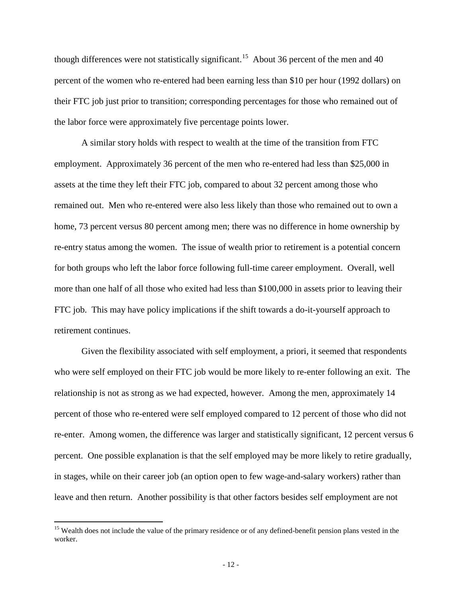though differences were not statistically significant.<sup>[15](#page-12-0)</sup> About 36 percent of the men and 40 percent of the women who re-entered had been earning less than \$10 per hour (1992 dollars) on their FTC job just prior to transition; corresponding percentages for those who remained out of the labor force were approximately five percentage points lower.

A similar story holds with respect to wealth at the time of the transition from FTC employment. Approximately 36 percent of the men who re-entered had less than \$25,000 in assets at the time they left their FTC job, compared to about 32 percent among those who remained out. Men who re-entered were also less likely than those who remained out to own a home, 73 percent versus 80 percent among men; there was no difference in home ownership by re-entry status among the women. The issue of wealth prior to retirement is a potential concern for both groups who left the labor force following full-time career employment. Overall, well more than one half of all those who exited had less than \$100,000 in assets prior to leaving their FTC job. This may have policy implications if the shift towards a do-it-yourself approach to retirement continues.

Given the flexibility associated with self employment, a priori, it seemed that respondents who were self employed on their FTC job would be more likely to re-enter following an exit. The relationship is not as strong as we had expected, however. Among the men, approximately 14 percent of those who re-entered were self employed compared to 12 percent of those who did not re-enter. Among women, the difference was larger and statistically significant, 12 percent versus 6 percent. One possible explanation is that the self employed may be more likely to retire gradually, in stages, while on their career job (an option open to few wage-and-salary workers) rather than leave and then return. Another possibility is that other factors besides self employment are not

<span id="page-12-0"></span><sup>&</sup>lt;sup>15</sup> Wealth does not include the value of the primary residence or of any defined-benefit pension plans vested in the worker.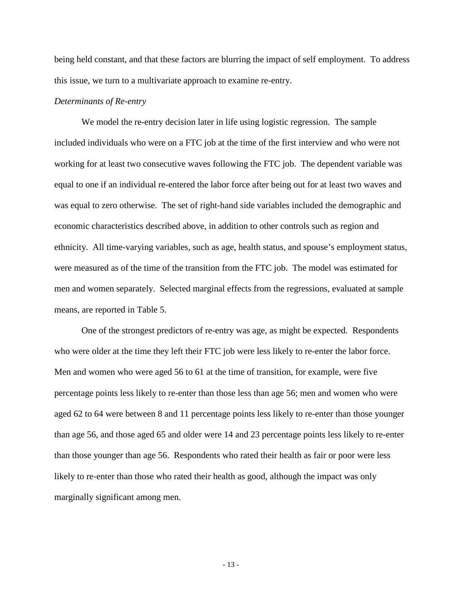being held constant, and that these factors are blurring the impact of self employment. To address this issue, we turn to a multivariate approach to examine re-entry.

### *Determinants of Re-entry*

We model the re-entry decision later in life using logistic regression. The sample included individuals who were on a FTC job at the time of the first interview and who were not working for at least two consecutive waves following the FTC job. The dependent variable was equal to one if an individual re-entered the labor force after being out for at least two waves and was equal to zero otherwise. The set of right-hand side variables included the demographic and economic characteristics described above, in addition to other controls such as region and ethnicity. All time-varying variables, such as age, health status, and spouse's employment status, were measured as of the time of the transition from the FTC job. The model was estimated for men and women separately. Selected marginal effects from the regressions, evaluated at sample means, are reported in Table 5.

 One of the strongest predictors of re-entry was age, as might be expected. Respondents who were older at the time they left their FTC job were less likely to re-enter the labor force. Men and women who were aged 56 to 61 at the time of transition, for example, were five percentage points less likely to re-enter than those less than age 56; men and women who were aged 62 to 64 were between 8 and 11 percentage points less likely to re-enter than those younger than age 56, and those aged 65 and older were 14 and 23 percentage points less likely to re-enter than those younger than age 56. Respondents who rated their health as fair or poor were less likely to re-enter than those who rated their health as good, although the impact was only marginally significant among men.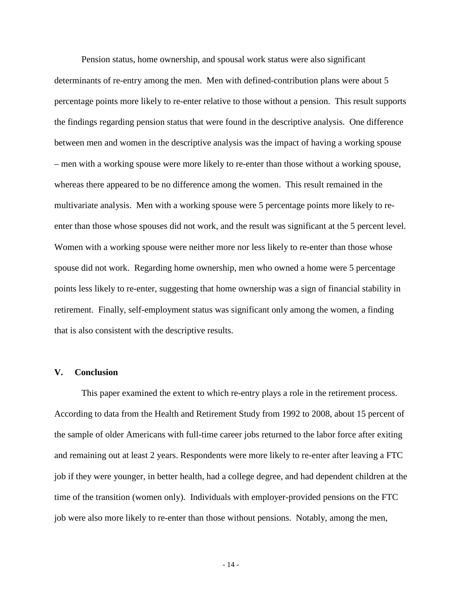Pension status, home ownership, and spousal work status were also significant determinants of re-entry among the men. Men with defined-contribution plans were about 5 percentage points more likely to re-enter relative to those without a pension. This result supports the findings regarding pension status that were found in the descriptive analysis. One difference between men and women in the descriptive analysis was the impact of having a working spouse – men with a working spouse were more likely to re-enter than those without a working spouse, whereas there appeared to be no difference among the women. This result remained in the multivariate analysis. Men with a working spouse were 5 percentage points more likely to reenter than those whose spouses did not work, and the result was significant at the 5 percent level. Women with a working spouse were neither more nor less likely to re-enter than those whose spouse did not work. Regarding home ownership, men who owned a home were 5 percentage points less likely to re-enter, suggesting that home ownership was a sign of financial stability in retirement. Finally, self-employment status was significant only among the women, a finding that is also consistent with the descriptive results.

#### **V. Conclusion**

This paper examined the extent to which re-entry plays a role in the retirement process. According to data from the Health and Retirement Study from 1992 to 2008, about 15 percent of the sample of older Americans with full-time career jobs returned to the labor force after exiting and remaining out at least 2 years. Respondents were more likely to re-enter after leaving a FTC job if they were younger, in better health, had a college degree, and had dependent children at the time of the transition (women only). Individuals with employer-provided pensions on the FTC job were also more likely to re-enter than those without pensions. Notably, among the men,

- 14 -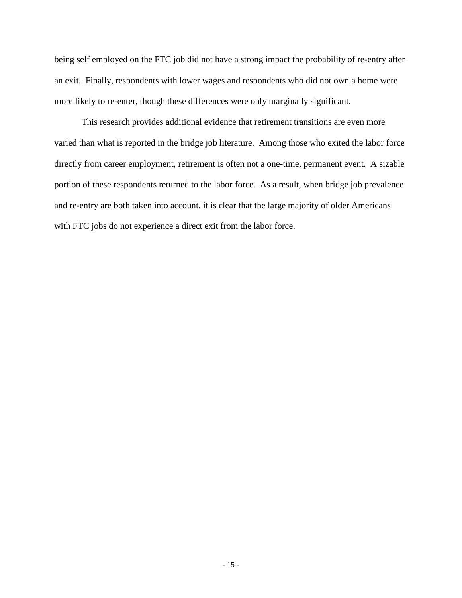being self employed on the FTC job did not have a strong impact the probability of re-entry after an exit. Finally, respondents with lower wages and respondents who did not own a home were more likely to re-enter, though these differences were only marginally significant.

This research provides additional evidence that retirement transitions are even more varied than what is reported in the bridge job literature. Among those who exited the labor force directly from career employment, retirement is often not a one-time, permanent event. A sizable portion of these respondents returned to the labor force. As a result, when bridge job prevalence and re-entry are both taken into account, it is clear that the large majority of older Americans with FTC jobs do not experience a direct exit from the labor force.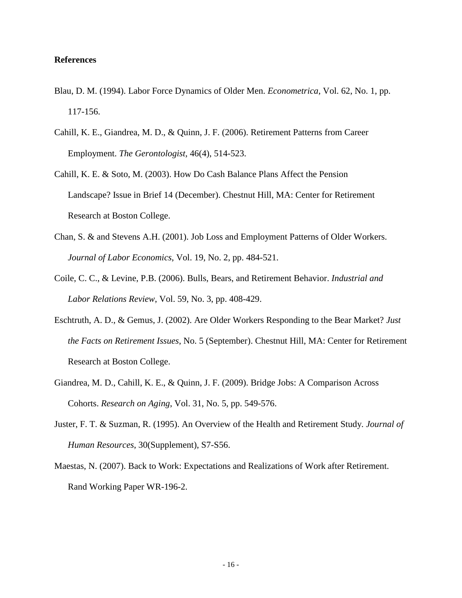### **References**

- Blau, D. M. (1994). Labor Force Dynamics of Older Men. *Econometrica*, Vol. 62, No. 1, pp. 117-156.
- Cahill, K. E., Giandrea, M. D., & Quinn, J. F. (2006). Retirement Patterns from Career Employment. *The Gerontologist,* 46(4), 514-523.
- Cahill, K. E. & Soto, M. (2003). How Do Cash Balance Plans Affect the Pension Landscape? Issue in Brief 14 (December). Chestnut Hill, MA: Center for Retirement Research at Boston College.
- Chan, S. & and Stevens A.H. (2001). Job Loss and Employment Patterns of Older Workers. *Journal of Labor Economics*, Vol. 19, No. 2, pp. 484-521.
- Coile, C. C., & Levine, P.B. (2006). Bulls, Bears, and Retirement Behavior. *Industrial and Labor Relations Review*, Vol. 59, No. 3, pp. 408-429.
- Eschtruth, A. D., & Gemus, J. (2002). Are Older Workers Responding to the Bear Market? *Just the Facts on Retirement Issues*, No. 5 (September). Chestnut Hill, MA: Center for Retirement Research at Boston College.
- Giandrea, M. D., Cahill, K. E., & Quinn, J. F. (2009). Bridge Jobs: A Comparison Across Cohorts. *Research on Aging*, Vol. 31, No. 5, pp. 549-576.
- Juster, F. T. & Suzman, R. (1995). An Overview of the Health and Retirement Study. *Journal of Human Resources* , 30(Supplement), S7-S56.
- Maestas, N. (2007). Back to Work: Expectations and Realizations of Work after Retirement. Rand Working Paper WR-196-2.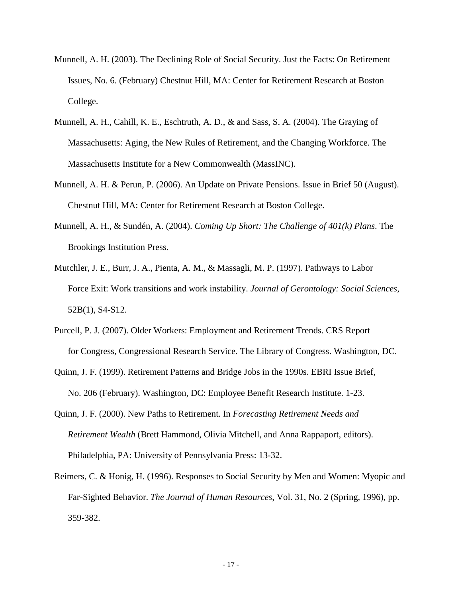- Munnell, A. H. (2003). The Declining Role of Social Security. Just the Facts: On Retirement Issues, No. 6. (February) Chestnut Hill, MA: Center for Retirement Research at Boston College.
- Munnell, A. H., Cahill, K. E., Eschtruth, A. D., & and Sass, S. A. (2004). The Graying of Massachusetts: Aging, the New Rules of Retirement, and the Changing Workforce. The Massachusetts Institute for a New Commonwealth (MassINC).
- Munnell, A. H. & Perun, P. (2006). An Update on Private Pensions. Issue in Brief 50 (August). Chestnut Hill, MA: Center for Retirement Research at Boston College.
- Munnell, A. H., & Sundén, A. (2004). *Coming Up Short: The Challenge of 401(k) Plans*. The Brookings Institution Press.
- Mutchler, J. E., Burr, J. A., Pienta, A. M., & Massagli, M. P. (1997). Pathways to Labor Force Exit: Work transitions and work instability. *Journal of Gerontology: Social Sciences*, 52B(1), S4-S12.
- Purcell, P. J. (2007). Older Workers: Employment and Retirement Trends. CRS Report for Congress, Congressional Research Service. The Library of Congress. Washington, DC.
- Quinn, J. F. (1999). Retirement Patterns and Bridge Jobs in the 1990s. EBRI Issue Brief, No. 206 (February). Washington, DC: Employee Benefit Research Institute. 1-23.
- Quinn, J. F. (2000). New Paths to Retirement. In *Forecasting Retirement Needs and Retirement Wealth* (Brett Hammond, Olivia Mitchell, and Anna Rappaport, editors). Philadelphia, PA: University of Pennsylvania Press: 13-32.
- Reimers, C. & Honig, H. (1996). Responses to Social Security by Men and Women: Myopic and Far-Sighted Behavior. *The Journal of Human Resources*, Vol. 31, No. 2 (Spring, 1996), pp. 359-382.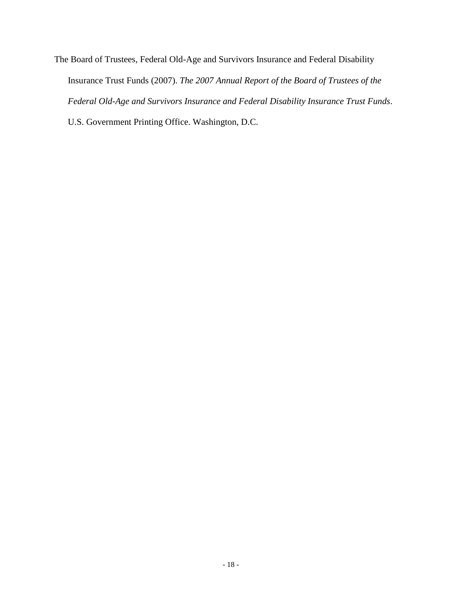The Board of Trustees, Federal Old-Age and Survivors Insurance and Federal Disability Insurance Trust Funds (2007). *The 2007 Annual Report of the Board of Trustees of the Federal Old-Age and Survivors Insurance and Federal Disability Insurance Trust Funds*. U.S. Government Printing Office. Washington, D.C.

- 18 -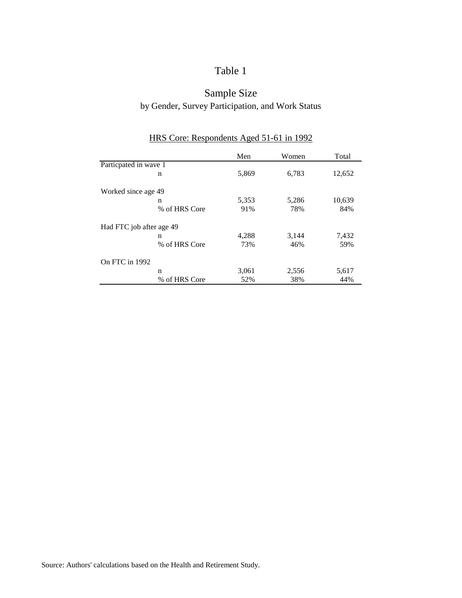# Sample Size by Gender, Survey Participation, and Work Status

|                          | Men   | Women | Total  |
|--------------------------|-------|-------|--------|
| Particpated in wave 1    |       |       |        |
| n                        | 5,869 | 6,783 | 12,652 |
| Worked since age 49      |       |       |        |
| n                        | 5,353 | 5,286 | 10,639 |
| % of HRS Core            | 91%   | 78%   | 84%    |
| Had FTC job after age 49 |       |       |        |
| n                        | 4,288 | 3,144 | 7,432  |
| % of HRS Core            | 73%   | 46%   | 59%    |
| On FTC in 1992           |       |       |        |
| n                        | 3,061 | 2,556 | 5,617  |
| % of HRS Core            | 52%   | 38%   | 44%    |

# HRS Core: Respondents Aged 51-61 in 1992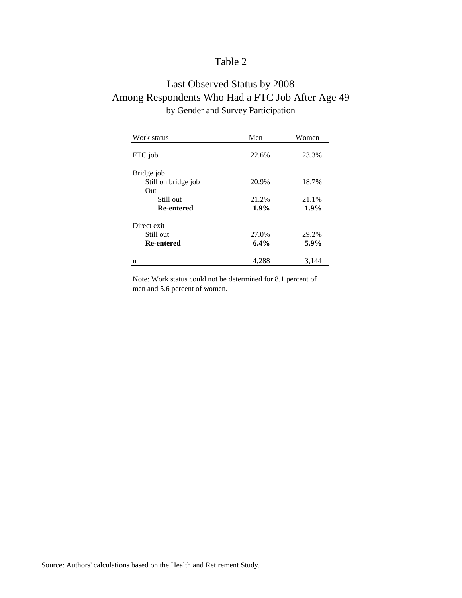# Last Observed Status by 2008 Among Respondents Who Had a FTC Job After Age 49 by Gender and Survey Participation

| Work status         | Men   | Women |
|---------------------|-------|-------|
| FTC job             | 22.6% | 23.3% |
| Bridge job          |       |       |
| Still on bridge job | 20.9% | 18.7% |
| Out                 |       |       |
| Still out           | 21.2% | 21.1% |
| <b>Re-entered</b>   | 1.9%  | 1.9%  |
| Direct exit         |       |       |
| Still out           | 27.0% | 29.2% |
| <b>Re-entered</b>   | 6.4%  | 5.9%  |
| n                   | 4,288 | 3.144 |

Note: Work status could not be determined for 8.1 percent of men and 5.6 percent of women.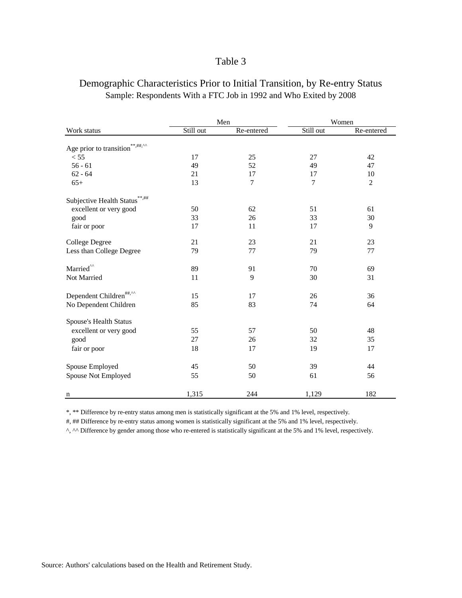|                                           | Men       |            | Women     |                |
|-------------------------------------------|-----------|------------|-----------|----------------|
| Work status                               | Still out | Re-entered | Still out | Re-entered     |
| $***, \#$ #,^^<br>Age prior to transition |           |            |           |                |
| < 55                                      | 17        | 25         | 27        | 42             |
| $56 - 61$                                 | 49        | 52         | 49        | 47             |
| $62 - 64$                                 | 21        | 17         | 17        | 10             |
| $65+$                                     | 13        | 7          | 7         | $\overline{2}$ |
| Subjective Health Status                  |           |            |           |                |
| excellent or very good                    | 50        | 62         | 51        | 61             |
| good                                      | 33        | 26         | 33        | 30             |
| fair or poor                              | 17        | 11         | 17        | 9              |
| <b>College Degree</b>                     | 21        | 23         | 21        | 23             |
| Less than College Degree                  | 79        | 77         | 79        | 77             |
| Married <sup>^^</sup>                     | 89        | 91         | 70        | 69             |
| Not Married                               | 11        | 9          | 30        | 31             |
| Dependent Children <sup>##,^^</sup>       | 15        | 17         | 26        | 36             |
| No Dependent Children                     | 85        | 83         | 74        | 64             |
| Spouse's Health Status                    |           |            |           |                |
| excellent or very good                    | 55        | 57         | 50        | 48             |
| good                                      | 27        | 26         | 32        | 35             |
| fair or poor                              | 18        | 17         | 19        | 17             |
| Spouse Employed                           | 45        | 50         | 39        | 44             |
| Spouse Not Employed                       | 55        | 50         | 61        | 56             |
| n                                         | 1,315     | 244        | 1,129     | 182            |

## Demographic Characteristics Prior to Initial Transition, by Re-entry Status Sample: Respondents With a FTC Job in 1992 and Who Exited by 2008

\*, \*\* Difference by re-entry status among men is statistically significant at the 5% and 1% level, respectively.

#, ## Difference by re-entry status among women is statistically significant at the 5% and 1% level, respectively.

^, ^^ Difference by gender among those who re-entered is statistically significant at the 5% and 1% level, respectively.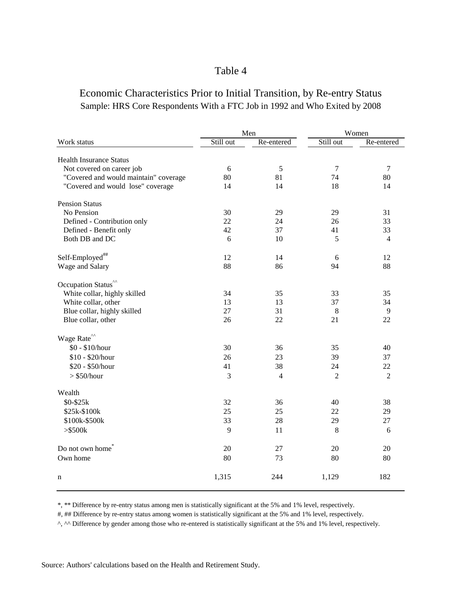## Economic Characteristics Prior to Initial Transition, by Re-entry Status Sample: HRS Core Respondents With a FTC Job in 1992 and Who Exited by 2008

|                                                                               | Men       |                | Women          |                |
|-------------------------------------------------------------------------------|-----------|----------------|----------------|----------------|
| Work status                                                                   | Still out | Re-entered     | Still out      | Re-entered     |
|                                                                               |           |                |                |                |
| <b>Health Insurance Status</b>                                                |           |                |                |                |
| Not covered on career job                                                     | 6         | 5              | $\overline{7}$ | $\tau$         |
| "Covered and would maintain" coverage                                         | 80        | 81             | 74             | 80             |
| "Covered and would lose" coverage                                             | 14        | 14             | 18             | 14             |
| <b>Pension Status</b>                                                         |           |                |                |                |
| No Pension                                                                    | 30        | 29             | 29             | 31             |
| Defined - Contribution only                                                   | 22        | 24             | 26             | 33             |
| Defined - Benefit only                                                        | 42        | 37             | 41             | 33             |
| Both DB and DC                                                                | 6         | 10             | 5              | $\overline{4}$ |
|                                                                               |           |                |                |                |
| Self-Employed##                                                               | 12        | 14             | 6              | 12             |
| Wage and Salary                                                               | 88        | 86             | 94             | 88             |
| Occupation Status <sup>"</sup>                                                |           |                |                |                |
| White collar, highly skilled                                                  | 34        | 35             | 33             | 35             |
| White collar, other                                                           | 13        | 13             | 37             | 34             |
| Blue collar, highly skilled                                                   | 27        | 31             | 8              | 9              |
| Blue collar, other                                                            | 26        | 22             | 21             | 22             |
| Wage $\mbox{Rate}^{\mbox{\tiny\rm {}^{\Lambda}}\mbox{\tiny\rm {}^{\Lambda}}}$ |           |                |                |                |
| \$0 - \$10/hour                                                               | 30        | 36             | 35             | 40             |
| \$10 - \$20/hour                                                              | 26        | 23             | 39             | 37             |
|                                                                               | 41        |                |                |                |
| \$20 - \$50/hour                                                              |           | 38             | 24             | 22             |
| $>$ \$50/hour                                                                 | 3         | $\overline{4}$ | $\overline{c}$ | $\overline{2}$ |
| Wealth                                                                        |           |                |                |                |
| \$0-\$25k                                                                     | 32        | 36             | 40             | 38             |
| \$25k-\$100k                                                                  | 25        | 25             | 22             | 29             |
| \$100k-\$500k                                                                 | 33        | 28             | 29             | 27             |
| $>\$ 500k                                                                     | 9         | 11             | 8              | 6              |
| Do not own home                                                               | 20        | 27             | 20             | 20             |
| Own home                                                                      | 80        | 73             | 80             | 80             |
|                                                                               |           |                |                |                |
| n                                                                             | 1,315     | 244            | 1,129          | 182            |

\*, \*\* Difference by re-entry status among men is statistically significant at the 5% and 1% level, respectively.

#, ## Difference by re-entry status among women is statistically significant at the 5% and 1% level, respectively.

^, ^^ Difference by gender among those who re-entered is statistically significant at the 5% and 1% level, respectively.

Source: Authors' calculations based on the Health and Retirement Study.